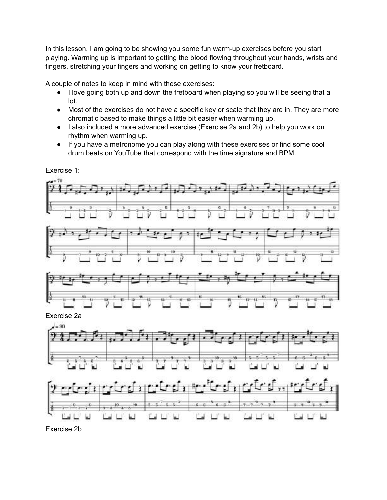In this lesson, I am going to be showing you some fun warm-up exercises before you start playing. Warming up is important to getting the blood flowing throughout your hands, wrists and fingers, stretching your fingers and working on getting to know your fretboard.

A couple of notes to keep in mind with these exercises:

- I love going both up and down the fretboard when playing so you will be seeing that a lot.
- Most of the exercises do not have a specific key or scale that they are in. They are more chromatic based to make things a little bit easier when warming up.
- I also included a more advanced exercise (Exercise 2a and 2b) to help you work on rhythm when warming up.
- If you have a metronome you can play along with these exercises or find some cool drum beats on YouTube that correspond with the time signature and BPM.



 $-$ 

 $2 - 7$ 

Exercise 1:

Exercise 2b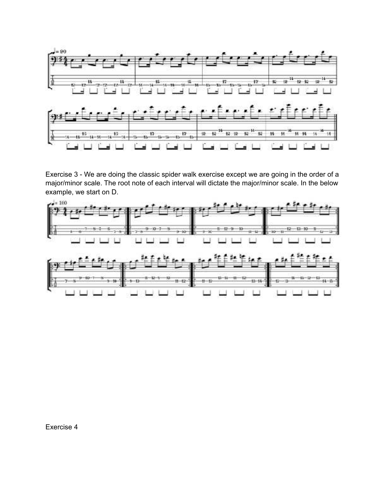

Exercise 3 - We are doing the classic spider walk exercise except we are going in the order of a major/minor scale. The root note of each interval will dictate the major/minor scale. In the below

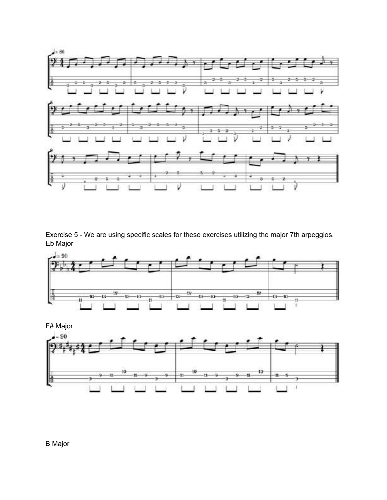

Exercise 5 - We are using specific scales for these exercises utilizing the major 7th arpeggios. Eb Major



F# Major



## B Major